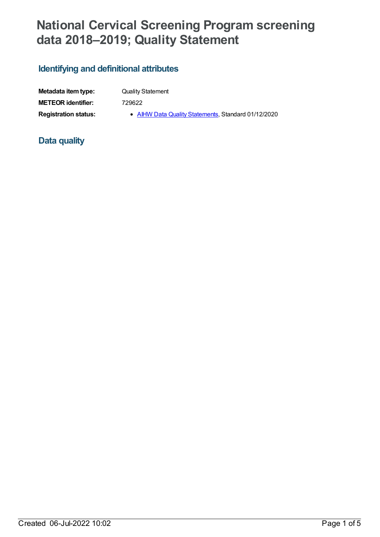# **National Cervical Screening Program screening data 2018–2019; Quality Statement**

# **Identifying and definitional attributes**

| Metadata item type:         |  |
|-----------------------------|--|
| <b>METEOR identifier:</b>   |  |
| <b>Registration status:</b> |  |

**Quality Statement** 

**METEOR identifier:** 729622

**Registration status: • AIHW Data Quality [Statements](https://meteor.aihw.gov.au/RegistrationAuthority/5)**, Standard 01/12/2020

## **Data quality**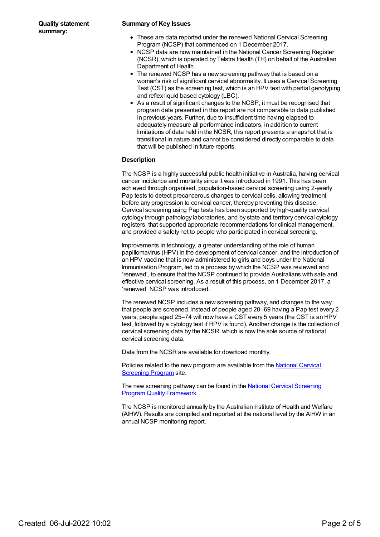#### **Summary of Key Issues**

- These are data reported under the renewed National Cervical Screening Program (NCSP) that commenced on 1 December 2017.
- NCSP data are now maintained in the National Cancer Screening Register (NCSR), which is operated by Telstra Health (TH) on behalf of the Australian Department of Health.
- The renewed NCSP has a new screening pathway that is based on a woman's risk of significant cervical abnormality. It uses a Cervical Screening Test (CST) as the screening test, which is an HPV test with partial genotyping and reflex liquid based cytology (LBC).
- As a result of significant changes to the NCSP, it must be recognised that program data presented in this report are not comparable to data published in previous years. Further, due to insufficient time having elapsed to adequately measure all performance indicators, in addition to current limitations of data held in the NCSR, this report presents a snapshot that is transitional in nature and cannot be considered directly comparable to data that will be published in future reports.

#### **Description**

The NCSP is a highly successful public health initiative in Australia, halving cervical cancer incidence and mortality since it was introduced in 1991. This has been achieved through organised, population-based cervical screening using 2-yearly Pap tests to detect precancerous changes to cervical cells, allowing treatment before any progression to cervical cancer, thereby preventing this disease. Cervical screening using Pap tests has been supported by high-quality cervical cytology through pathology laboratories, and by state and territory cervical cytology registers, that supported appropriate recommendations for clinical management, and provided a safety net to people who participated in cervical screening.

Improvements in technology, a greater understanding of the role of human papillomavirus (HPV) in the development of cervical cancer, and the introduction of an HPV vaccine that is now administered to girls and boys under the National Immunisation Program, led to a process by which the NCSP was reviewed and 'renewed', to ensure that the NCSP continued to provide Australians with safe and effective cervical screening. As a result of this process, on 1 December 2017, a 'renewed' NCSP was introduced.

The renewed NCSP includes a new screening pathway, and changes to the way that people are screened. Instead of people aged 20–69 having a Pap test every 2 years, people aged 25–74 will now have a CST every 5 years (the CST is an HPV test, followed by a cytology test if HPV is found). Another change is the collection of cervical screening data by the NCSR, which is now the sole source of national cervical screening data.

Data from the NCSR are available for download monthly.

Policies related to the new program are available from the **National Cervical [Screening](http://cancerscreening.gov.au/internet/screening/publishing.nsf/Content/national-cervical-screening-program-policies) Program site.** 

The new screening pathway can be found in the National Cervical Screening Program Quality [Framework.](http://cancerscreening.gov.au/internet/screening/publishing.nsf/Content/A96FA4D3791BDC88CA2582D50007559C/$File/NPS_NCSP_Quality_Framework_ACC.pdf)

The NCSP is monitored annually by the Australian Institute of Health and Welfare (AIHW). Results are compiled and reported at the national level by the AIHW in an annual NCSP monitoring report.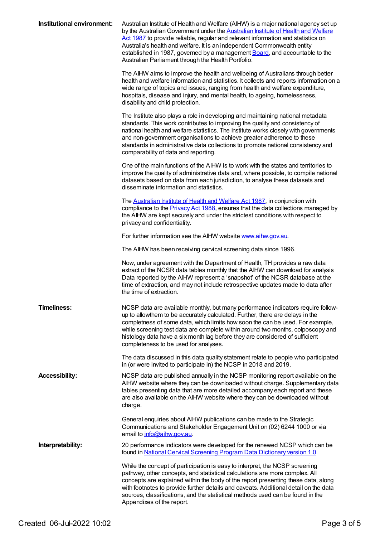| Institutional environment: | Australian Institute of Health and Welfare (AIHW) is a major national agency set up<br>by the Australian Government under the <b>Australian Institute of Health and Welfare</b><br>Act 1987 to provide reliable, regular and relevant information and statistics on<br>Australia's health and welfare. It is an independent Commonwealth entity<br>established in 1987, governed by a management <b>Board</b> , and accountable to the<br>Australian Parliament through the Health Portfolio.<br>The AIHW aims to improve the health and wellbeing of Australians through better<br>health and welfare information and statistics. It collects and reports information on a<br>wide range of topics and issues, ranging from health and welfare expenditure,<br>hospitals, disease and injury, and mental health, to ageing, homelessness,<br>disability and child protection. |
|----------------------------|--------------------------------------------------------------------------------------------------------------------------------------------------------------------------------------------------------------------------------------------------------------------------------------------------------------------------------------------------------------------------------------------------------------------------------------------------------------------------------------------------------------------------------------------------------------------------------------------------------------------------------------------------------------------------------------------------------------------------------------------------------------------------------------------------------------------------------------------------------------------------------|
|                            | The Institute also plays a role in developing and maintaining national metadata<br>standards. This work contributes to improving the quality and consistency of<br>national health and welfare statistics. The Institute works closely with governments<br>and non-government organisations to achieve greater adherence to these<br>standards in administrative data collections to promote national consistency and<br>comparability of data and reporting.                                                                                                                                                                                                                                                                                                                                                                                                                  |
|                            | One of the main functions of the AIHW is to work with the states and territories to<br>improve the quality of administrative data and, where possible, to compile national<br>datasets based on data from each jurisdiction, to analyse these datasets and<br>disseminate information and statistics.                                                                                                                                                                                                                                                                                                                                                                                                                                                                                                                                                                          |
|                            | The Australian Institute of Health and Welfare Act 1987, in conjunction with<br>compliance to the <b>Privacy Act 1988</b> , ensures that the data collections managed by<br>the AIHW are kept securely and under the strictest conditions with respect to<br>privacy and confidentiality.                                                                                                                                                                                                                                                                                                                                                                                                                                                                                                                                                                                      |
|                            | For further information see the AIHW website www.aihw.gov.au.                                                                                                                                                                                                                                                                                                                                                                                                                                                                                                                                                                                                                                                                                                                                                                                                                  |
|                            | The AIHW has been receiving cervical screening data since 1996.                                                                                                                                                                                                                                                                                                                                                                                                                                                                                                                                                                                                                                                                                                                                                                                                                |
|                            | Now, under agreement with the Department of Health, TH provides a raw data<br>extract of the NCSR data tables monthly that the AIHW can download for analysis<br>Data reported by the AIHW represent a 'snapshot' of the NCSR database at the<br>time of extraction, and may not include retrospective updates made to data after<br>the time of extraction.                                                                                                                                                                                                                                                                                                                                                                                                                                                                                                                   |
| <b>Timeliness:</b>         | NCSP data are available monthly, but many performance indicators require follow-<br>up to allowthem to be accurately calculated. Further, there are delays in the<br>completness of some data, which limits how soon the can be used. For example,<br>while screening test data are complete within around two months, colposcopy and<br>histology data have a six month lag before they are considered of sufficient<br>completeness to be used for analyses.                                                                                                                                                                                                                                                                                                                                                                                                                 |
|                            | The data discussed in this data quality statement relate to people who participated<br>in (or were invited to participate in) the NCSP in 2018 and 2019.                                                                                                                                                                                                                                                                                                                                                                                                                                                                                                                                                                                                                                                                                                                       |
| <b>Accessibility:</b>      | NCSP data are published annually in the NCSP monitoring report available on the<br>AIHW website where they can be downloaded without charge. Supplementary data<br>tables presenting data that are more detailed accompany each report and these<br>are also available on the AIHW website where they can be downloaded without<br>charge.                                                                                                                                                                                                                                                                                                                                                                                                                                                                                                                                     |
|                            | General enquiries about AIHW publications can be made to the Strategic<br>Communications and Stakeholder Engagement Unit on (02) 6244 1000 or via<br>email to info@aihw.gov.au.                                                                                                                                                                                                                                                                                                                                                                                                                                                                                                                                                                                                                                                                                                |
| Interpretability:          | 20 performance indicators were developed for the renewed NCSP which can be<br>found in National Cervical Screening Program Data Dictionary version 1.0                                                                                                                                                                                                                                                                                                                                                                                                                                                                                                                                                                                                                                                                                                                         |
|                            | While the concept of participation is easy to interpret, the NCSP screening<br>pathway, other concepts, and statistical calculations are more complex. All<br>concepts are explained within the body of the report presenting these data, along<br>with footnotes to provide further details and caveats. Additional detail on the data<br>sources, classifications, and the statistical methods used can be found in the<br>Appendixes of the report.                                                                                                                                                                                                                                                                                                                                                                                                                         |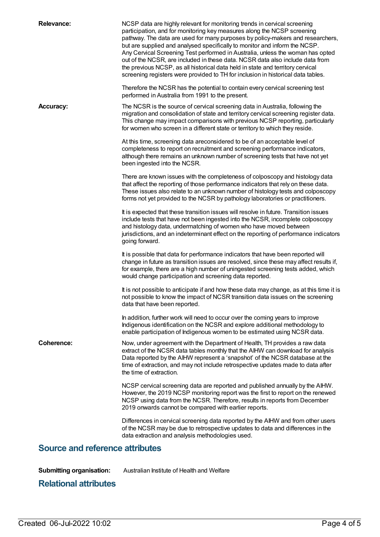| <b>Relevance:</b>                      | NCSP data are highly relevant for monitoring trends in cervical screening<br>participation, and for monitoring key measures along the NCSP screening<br>pathway. The data are used for many purposes by policy-makers and researchers,<br>but are supplied and analysed specifically to monitor and inform the NCSP.<br>Any Cervical Screening Test performed in Australia, unless the woman has opted<br>out of the NCSR, are included in these data. NCSR data also include data from<br>the previous NCSP, as all historical data held in state and territory cervical<br>screening registers were provided to TH for inclusion in historical data tables.<br>Therefore the NCSR has the potential to contain every cervical screening test |  |  |
|----------------------------------------|------------------------------------------------------------------------------------------------------------------------------------------------------------------------------------------------------------------------------------------------------------------------------------------------------------------------------------------------------------------------------------------------------------------------------------------------------------------------------------------------------------------------------------------------------------------------------------------------------------------------------------------------------------------------------------------------------------------------------------------------|--|--|
|                                        | performed in Australia from 1991 to the present.                                                                                                                                                                                                                                                                                                                                                                                                                                                                                                                                                                                                                                                                                               |  |  |
| <b>Accuracy:</b>                       | The NCSR is the source of cervical screening data in Australia, following the<br>migration and consolidation of state and territory cervical screening register data.<br>This change may impact comparisons with previous NCSP reporting, particularly<br>for women who screen in a different state or territory to which they reside.                                                                                                                                                                                                                                                                                                                                                                                                         |  |  |
|                                        | At this time, screening data areconsidered to be of an acceptable level of<br>completeness to report on recruitment and screening performance indicators,<br>although there remains an unknown number of screening tests that have not yet<br>been ingested into the NCSR.                                                                                                                                                                                                                                                                                                                                                                                                                                                                     |  |  |
|                                        | There are known issues with the completeness of colposcopy and histology data<br>that affect the reporting of those performance indicators that rely on these data.<br>These issues also relate to an unknown number of histology tests and colposcopy<br>forms not yet provided to the NCSR by pathology laboratories or practitioners.                                                                                                                                                                                                                                                                                                                                                                                                       |  |  |
|                                        | It is expected that these transition issues will resolve in future. Transition issues<br>include tests that have not been ingested into the NCSR, incomplete colposcopy<br>and histology data, undermatching of women who have moved between<br>jurisdictions, and an indeterminant effect on the reporting of performance indicators<br>going forward.                                                                                                                                                                                                                                                                                                                                                                                        |  |  |
|                                        | It is possible that data for performance indicators that have been reported will<br>change in future as transition issues are resolved, since these may affect results if,<br>for example, there are a high number of uningested screening tests added, which<br>would change participation and screening data reported.                                                                                                                                                                                                                                                                                                                                                                                                                       |  |  |
|                                        | It is not possible to anticipate if and how these data may change, as at this time it is<br>not possible to know the impact of NCSR transition data issues on the screening<br>data that have been reported.                                                                                                                                                                                                                                                                                                                                                                                                                                                                                                                                   |  |  |
|                                        | In addition, further work will need to occur over the coming years to improve<br>Indigenous identification on the NCSR and explore additional methodology to<br>enable participation of Indigenous women to be estimated using NCSR data.                                                                                                                                                                                                                                                                                                                                                                                                                                                                                                      |  |  |
| Coherence:                             | Now, under agreement with the Department of Health, TH provides a raw data<br>extract of the NCSR data tables monthly that the AIHW can download for analysis<br>Data reported by the AIHW represent a 'snapshot' of the NCSR database at the<br>time of extraction, and may not include retrospective updates made to data after<br>the time of extraction.                                                                                                                                                                                                                                                                                                                                                                                   |  |  |
|                                        | NCSP cervical screening data are reported and published annually by the AIHW.<br>However, the 2019 NCSP monitoring report was the first to report on the renewed<br>NCSP using data from the NCSR. Therefore, results in reports from December<br>2019 onwards cannot be compared with earlier reports.                                                                                                                                                                                                                                                                                                                                                                                                                                        |  |  |
|                                        | Differences in cervical screening data reported by the AIHW and from other users<br>of the NCSR may be due to retrospective updates to data and differences in the<br>data extraction and analysis methodologies used.                                                                                                                                                                                                                                                                                                                                                                                                                                                                                                                         |  |  |
| <b>Source and reference attributes</b> |                                                                                                                                                                                                                                                                                                                                                                                                                                                                                                                                                                                                                                                                                                                                                |  |  |

**Submitting organisation:** Australian Institute of Health and Welfare

### **Relational attributes**